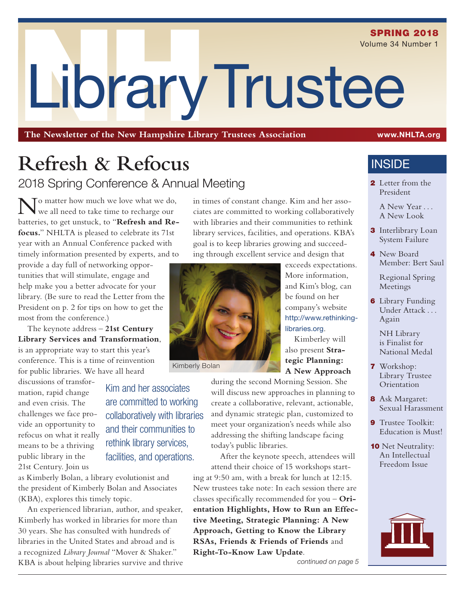SPRING 2018 Volume 34 Number 1

LibraryTrustee

**The Newsletter of the New Hampshire Library Trustees Association** www.NHLTA.org

## **Refresh & Refocus** 2018 Spring Conference & Annual Meeting

To matter how much we love what we do, we all need to take time to recharge our batteries, to get unstuck, to "**Refresh and Refocus.**" NHLTA is pleased to celebrate its 71st year with an Annual Conference packed with timely information presented by experts, and to

provide a day full of networking opportunities that will stimulate, engage and help make you a better advocate for your library. (Be sure to read the Letter from the President on p. 2 for tips on how to get the most from the conference.)

The keynote address – **21st Century Library Services and Transformation**, is an appropriate way to start this year's conference. This is a time of reinvention for public libraries. We have all heard

discussions of transformation, rapid change and even crisis. The challenges we face provide an opportunity to refocus on what it really means to be a thriving public library in the 21st Century. Join us

Kim and her associates are committed to working collaboratively with libraries and their communities to rethink library services, facilities, and operations.

as Kimberly Bolan, a library evolutionist and the president of Kimberly Bolan and Associates (KBA), explores this timely topic.

An experienced librarian, author, and speaker, Kimberly has worked in libraries for more than 30 years. She has consulted with hundreds of libraries in the United States and abroad and is a recognized *Library Journal* "Mover & Shaker." KBA is about helping libraries survive and thrive in times of constant change. Kim and her associates are committed to working collaboratively with libraries and their communities to rethink library services, facilities, and operations. KBA's goal is to keep libraries growing and succeeding through excellent service and design that



Kimberly Bolan

exceeds expectations. More information, and Kim's blog, can be found on her company's website http://www.rethinkinglibraries.org.

Kimberley will also present **Strategic Planning: A New Approach**

during the second Morning Session. She will discuss new approaches in planning to create a collaborative, relevant, actionable, and dynamic strategic plan, customized to meet your organization's needs while also addressing the shifting landscape facing today's public libraries.

After the keynote speech, attendees will attend their choice of 15 workshops starting at 9:50 am, with a break for lunch at 12:15. New trustees take note: In each session there are classes specifically recommended for you – **Orientation Highlights, How to Run an Effective Meeting, Strategic Planning: A New Approach, Getting to Know the Library RSAs, Friends & Friends of Friends** and **Right-To-Know Law Update**.

*continued on page 5*

## **INSIDE**

2 Letter from the President

> A New Year . . . A New Look

- 3 Interlibrary Loan System Failure
- 4 New Board Member: Bert Saul

Regional Spring Meetings

**6** Library Funding Under Attack . . . Again

> NH Library is Finalist for National Medal

- 7 Workshop: Library Trustee Orientation
- 8 Ask Margaret: Sexual Harassment
- **9** Trustee Toolkit: Education is Must!
- 10 Net Neutrality: An Intellectual Freedom Issue

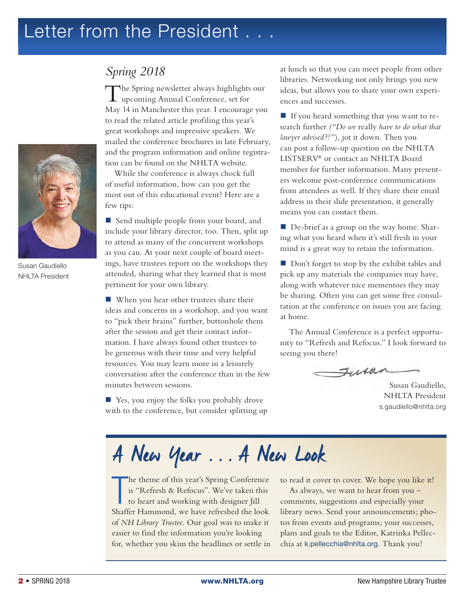# Letter from the President . . .



Susan Gaudiello NHLTA President

## *Spring 2018*

The Spring newsletter always highlights our upcoming Annual Conference, set for May 14 in Manchester this year. I encourage you to read the related article profiling this year's great workshops and impressive speakers. We mailed the conference brochures in late February, and the program information and online registration can be found on the NHLTA website.

While the conference is always chock full of useful information, how can you get the most out of this educational event? Here are a few tips:

Send multiple people from your board, and include your library director, too. Then, split up to attend as many of the concurrent workshops as you can. At your next couple of board meetings, have trustees report on the workshops they attended, sharing what they learned that is most pertinent for your own library.

■ When you hear other trustees share their ideas and concerns in a workshop, and you want to "pick their brains" further, buttonhole them after the session and get their contact information. I have always found other trustees to be generous with their time and very helpful resources. You may learn more in a leisurely conversation after the conference than in the few minutes between sessions.

■ Yes, you enjoy the folks you probably drove with to the conference, but consider splitting up at lunch so that you can meet people from other libraries. Networking not only brings you new ideas, but allows you to share your own experiences and successes.

 If you heard something that you want to research further *("Do we* really *have to do what that lawyer advised?!"*), jot it down. Then you can post a follow-up question on the NHLTA LISTSERV® or contact an NHLTA Board member for further information. Many presenters welcome post-conference communications from attendees as well. If they share their email address in their slide presentation, it generally means you can contact them.

■ De-brief as a group on the way home. Sharing what you heard when it's still fresh in your mind is a great way to retain the information.

Don't forget to stop by the exhibit tables and pick up any materials the companies may have, along with whatever nice mementoes they may be sharing. Often you can get some free consultation at the conference on issues you are facing at home.

The Annual Conference is a perfect opportunity to "Refresh and Refocus." I look forward to seeing you there!

Turan

Susan Gaudiello, NHLTA President s.gaudiello@nhlta.org

# A New Year ... A New Look

T<br>also he theme of this year's Spring Conference is "Refresh & Refocus". We've taken this to heart and working with designer Jill Shaffer Hammond, we have refreshed the look of *NH Library Trustee*. Our goal was to make it easier to find the information you're looking for, whether you skim the headlines or settle in

to read it cover to cover. We hope you like it!

As always, we want to hear from you – comments, suggestions and especially your library news. Send your announcements; photos from events and programs; your successes, plans and goals to the Editor, Katrinka Pellecchia at k.pellecchia@nhlta.org. Thank you!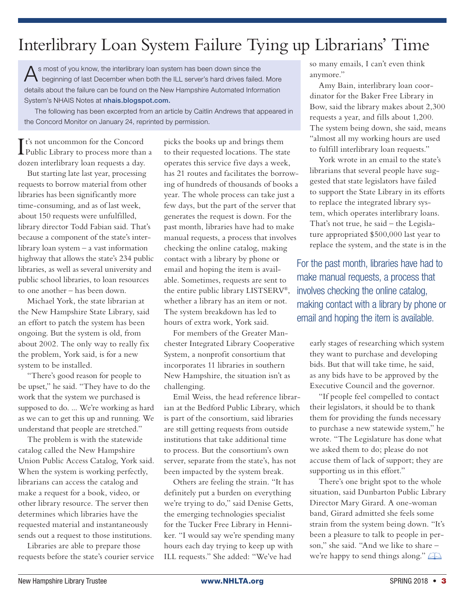# Interlibrary Loan System Failure Tying up Librarians' Time

 $A$ s most of you know, the interlibrary loan system has been down since the<br>
beginning of last December when both the ILL server's hard drives failed. More details about the failure can be found on the New Hampshire Automated Information System's NHAIS Notes at nhais.blogspot.com.

The following has been excerpted from an article by Caitlin Andrews that appeared in the Concord Monitor on January 24, reprinted by permission.

It's not uncommon for the Concord<br>Public Library to process more than Public Library to process more than a dozen interlibrary loan requests a day.

But starting late last year, processing requests to borrow material from other libraries has been significantly more time-consuming, and as of last week, about 150 requests were unfulfilled, library director Todd Fabian said. That's because a component of the state's interlibrary loan system – a vast information highway that allows the state's 234 public libraries, as well as several university and public school libraries, to loan resources to one another – has been down.

Michael York, the state librarian at the New Hampshire State Library, said an effort to patch the system has been ongoing. But the system is old, from about 2002. The only way to really fix the problem, York said, is for a new system to be installed.

"There's good reason for people to be upset," he said. "They have to do the work that the system we purchased is supposed to do. ... We're working as hard as we can to get this up and running. We understand that people are stretched."

The problem is with the statewide catalog called the New Hampshire Union Public Access Catalog, York said. When the system is working perfectly, librarians can access the catalog and make a request for a book, video, or other library resource. The server then determines which libraries have the requested material and instantaneously sends out a request to those institutions.

Libraries are able to prepare those requests before the state's courier service picks the books up and brings them to their requested locations. The state operates this service five days a week, has 21 routes and facilitates the borrowing of hundreds of thousands of books a year. The whole process can take just a few days, but the part of the server that generates the request is down. For the past month, libraries have had to make manual requests, a process that involves checking the online catalog, making contact with a library by phone or email and hoping the item is available. Sometimes, requests are sent to the entire public library LISTSERV®, whether a library has an item or not. The system breakdown has led to hours of extra work, York said.

For members of the Greater Manchester Integrated Library Cooperative System, a nonprofit consortium that incorporates 11 libraries in southern New Hampshire, the situation isn't as challenging.

Emil Weiss, the head reference librarian at the Bedford Public Library, which is part of the consortium, said libraries are still getting requests from outside institutions that take additional time to process. But the consortium's own server, separate from the state's, has not been impacted by the system break.

Others are feeling the strain. "It has definitely put a burden on everything we're trying to do," said Denise Getts, the emerging technologies specialist for the Tucker Free Library in Henniker. "I would say we're spending many hours each day trying to keep up with ILL requests." She added: "We've had

so many emails, I can't even think anymore."

Amy Bain, interlibrary loan coordinator for the Baker Free Library in Bow, said the library makes about 2,300 requests a year, and fills about 1,200. The system being down, she said, means "almost all my working hours are used to fulfill interlibrary loan requests."

York wrote in an email to the state's librarians that several people have suggested that state legislators have failed to support the State Library in its efforts to replace the integrated library system, which operates interlibrary loans. That's not true, he said – the Legislature appropriated \$500,000 last year to replace the system, and the state is in the

For the past month, libraries have had to make manual requests, a process that involves checking the online catalog, making contact with a library by phone or email and hoping the item is available.

early stages of researching which system they want to purchase and developing bids. But that will take time, he said, as any bids have to be approved by the Executive Council and the governor.

"If people feel compelled to contact their legislators, it should be to thank them for providing the funds necessary to purchase a new statewide system," he wrote. "The Legislature has done what we asked them to do; please do not accuse them of lack of support; they are supporting us in this effort."

There's one bright spot to the whole situation, said Dunbarton Public Library Director Mary Girard. A one-woman band, Girard admitted she feels some strain from the system being down. "It's been a pleasure to talk to people in person," she said. "And we like to share – we're happy to send things along."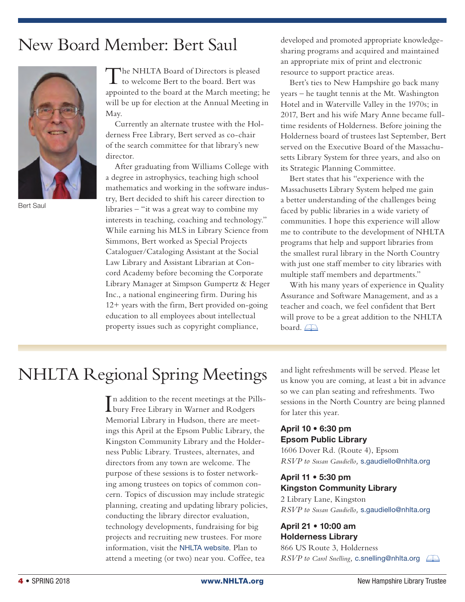# New Board Member: Bert Saul developed and promoted appropriate knowledge-



Bert Saul

The NHLTA Board of Directors is pleased to welcome Bert to the board. Bert was appointed to the board at the March meeting; he will be up for election at the Annual Meeting in May.

Currently an alternate trustee with the Holderness Free Library, Bert served as co-chair of the search committee for that library's new director.

After graduating from Williams College with a degree in astrophysics, teaching high school mathematics and working in the software industry, Bert decided to shift his career direction to libraries – "it was a great way to combine my interests in teaching, coaching and technology." While earning his MLS in Library Science from Simmons, Bert worked as Special Projects Cataloguer/Cataloging Assistant at the Social Law Library and Assistant Librarian at Concord Academy before becoming the Corporate Library Manager at Simpson Gumpertz & Heger Inc., a national engineering firm. During his 12+ years with the firm, Bert provided on-going education to all employees about intellectual property issues such as copyright compliance,

sharing programs and acquired and maintained an appropriate mix of print and electronic resource to support practice areas.

Bert's ties to New Hampshire go back many years – he taught tennis at the Mt. Washington Hotel and in Waterville Valley in the 1970s; in 2017, Bert and his wife Mary Anne became fulltime residents of Holderness. Before joining the Holderness board of trustees last September, Bert served on the Executive Board of the Massachusetts Library System for three years, and also on its Strategic Planning Committee.

Bert states that his "experience with the Massachusetts Library System helped me gain a better understanding of the challenges being faced by public libraries in a wide variety of communities. I hope this experience will allow me to contribute to the development of NHLTA programs that help and support libraries from the smallest rural library in the North Country with just one staff member to city libraries with multiple staff members and departments."

With his many years of experience in Quality Assurance and Software Management, and as a teacher and coach, we feel confident that Bert will prove to be a great addition to the NHLTA board.  $\Box$ 

# NHLTA Regional Spring Meetings and light refreshments will be served. Please let

In addition to the recent meetings at the Pil<br>bury Free Library in Warner and Rodgers n addition to the recent meetings at the Pills-Memorial Library in Hudson, there are meetings this April at the Epsom Public Library, the Kingston Community Library and the Holderness Public Library. Trustees, alternates, and directors from any town are welcome. The purpose of these sessions is to foster networking among trustees on topics of common concern. Topics of discussion may include strategic planning, creating and updating library policies, conducting the library director evaluation, technology developments, fundraising for big projects and recruiting new trustees. For more information, visit the NHLTA website. Plan to attend a meeting (or two) near you. Coffee, tea

us know you are coming, at least a bit in advance so we can plan seating and refreshments. Two sessions in the North Country are being planned for later this year.

### April 10 • 6:30 pm Epsom Public Library

1606 Dover Rd. (Route 4), Epsom *RSVP to Susan Gaudiello,* s.gaudiello@nhlta.org

### April 11 • 5:30 pm Kingston Community Library

2 Library Lane, Kingston *RSVP to Susan Gaudiello,* s.gaudiello@nhlta.org

### April 21 • 10:00 am Holderness Library 866 US Route 3, Holderness

*RSVP to Carol Snelling,* c.snelling@nhlta.org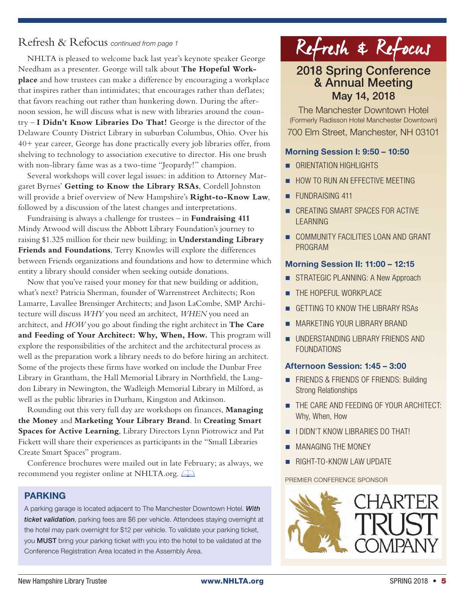### Refresh & Refocus *continued from page 1*

NHLTA is pleased to welcome back last year's keynote speaker George Needham as a presenter. George will talk about **The Hopeful Workplace** and how trustees can make a difference by encouraging a workplace that inspires rather than intimidates; that encourages rather than deflates; that favors reaching out rather than hunkering down. During the afternoon session, he will discuss what is new with libraries around the country – **I Didn't Know Libraries Do That!** George is the director of the Delaware County District Library in suburban Columbus, Ohio. Over his 40+ year career, George has done practically every job libraries offer, from shelving to technology to association executive to director. His one brush with non-library fame was as a two-time "Jeopardy!" champion.

Several workshops will cover legal issues: in addition to Attorney Margaret Byrnes' **Getting to Know the Library RSAs**, Cordell Johnston will provide a brief overview of New Hampshire's **Right-to-Know Law**, followed by a discussion of the latest changes and interpretations.

Fundraising is always a challenge for trustees – in **Fundraising 411** Mindy Atwood will discuss the Abbott Library Foundation's journey to raising \$1.325 million for their new building; in **Understanding Library Friends and Foundations**, Terry Knowles will explore the differences between Friends organizations and foundations and how to determine which entity a library should consider when seeking outside donations.

Now that you've raised your money for that new building or addition, what's next? Patricia Sherman, founder of Warrenstreet Architects; Ron Lamarre, Lavallee Brensinger Architects; and Jason LaCombe, SMP Architecture will discuss *WHY* you need an architect, *WHEN* you need an architect, and *HOW* you go about finding the right architect in **The Care**  and Feeding of Your Architect: Why, When, How. This program will explore the responsibilities of the architect and the architectural process as well as the preparation work a library needs to do before hiring an architect. Some of the projects these firms have worked on include the Dunbar Free Library in Grantham, the Hall Memorial Library in Northfield, the Langdon Library in Newington, the Wadleigh Memorial Library in Milford, as well as the public libraries in Durham, Kingston and Atkinson.

Rounding out this very full day are workshops on finances, **Managing the Money** and **Marketing Your Library Brand**. In **Creating Smart Spaces for Active Learning**, Library Directors Lynn Piotrowicz and Pat Fickett will share their experiences as participants in the "Small Libraries Create Smart Spaces" program.

Conference brochures were mailed out in late February; as always, we recommend you register online at NHLTA.org.

### PARKING

A parking garage is located adjacent to The Manchester Downtown Hotel. *With ticket validation*, parking fees are \$6 per vehicle. Attendees staying overnight at the hotel may park overnight for \$12 per vehicle. To validate your parking ticket, you **MUST** bring your parking ticket with you into the hotel to be validated at the Conference Registration Area located in the Assembly Area.



### 2018 Spring Conference & Annual Meeting May 14, 2018

The Manchester Downtown Hotel (Formerly Radisson Hotel Manchester Downtown) 700 Elm Street, Manchester, NH 03101

### Morning Session I: 9:50 – 10:50

- **CRIENTATION HIGHLIGHTS**
- HOW TO RUN AN EFFECTIVE MEETING
- **FUNDRAISING 411**
- **CREATING SMART SPACES FOR ACTIVE** LEARNING
- **COMMUNITY FACILITIES LOAN AND GRANT** PROGRAM

### Morning Session II: 11:00 – 12:15

- STRATEGIC PLANNING: A New Approach
- **THE HOPEFUL WORKPLACE**
- GETTING TO KNOW THE LIBRARY RSAS
- **MARKETING YOUR LIBRARY BRAND**
- UNDERSTANDING LIBRARY FRIENDS AND **FOUNDATIONS**

### Afternoon Session: 1:45 – 3:00

- **FRIENDS & FRIENDS OF FRIENDS: Building** Strong Relationships
- **THE CARE AND FEEDING OF YOUR ARCHITECT:** Why, When, How
- **I I DIDN'T KNOW LIBRARIES DO THAT!**
- **MANAGING THE MONEY**
- **RIGHT-TO-KNOW LAW UPDATE**

#### PREMIER CONFERENCE SPONSOR

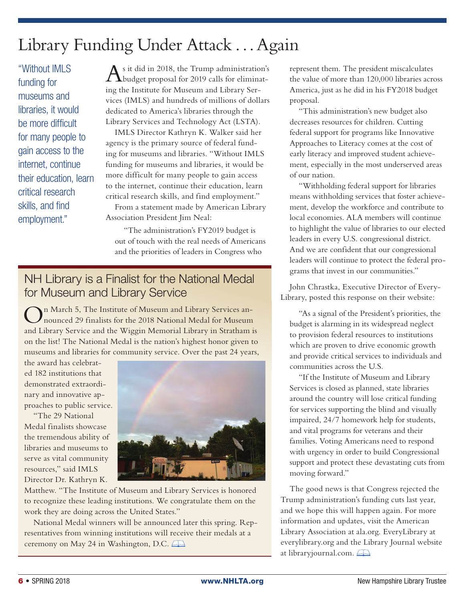# Library Funding Under Attack . . . Again

"Without IMLS funding for museums and libraries, it would be more difficult for many people to gain access to the internet, continue their education, learn critical research skills, and find employment."

As it did in 2018, the Trump administration's budget proposal for 2019 calls for eliminating the Institute for Museum and Library Services (IMLS) and hundreds of millions of dollars dedicated to America's libraries through the Library Services and Technology Act (LSTA).

IMLS Director Kathryn K. Walker said her agency is the primary source of federal funding for museums and libraries. "Without IMLS funding for museums and libraries, it would be more difficult for many people to gain access to the internet, continue their education, learn critical research skills, and find employment." From a statement made by American Library

Association President Jim Neal:

"The administration's FY2019 budget is out of touch with the real needs of Americans and the priorities of leaders in Congress who

## NH Library is a Finalist for the National Medal for Museum and Library Service

On March 5, The Institute of Museum and Library Services announced 29 finalists for the 2018 National Medal for Museum and Library Service and the Wiggin Memorial Library in Stratham is on the list! The National Medal is the nation's highest honor given to museums and libraries for community service. Over the past 24 years,

the award has celebrated 182 institutions that demonstrated extraordinary and innovative approaches to public service.

"The 29 National Medal finalists showcase the tremendous ability of libraries and museums to serve as vital community resources," said IMLS Director Dr. Kathryn K.



Matthew. "The Institute of Museum and Library Services is honored to recognize these leading institutions. We congratulate them on the work they are doing across the United States."

National Medal winners will be announced later this spring. Representatives from winning institutions will receive their medals at a ceremony on May 24 in Washington, D.C.

represent them. The president miscalculates the value of more than 120,000 libraries across America, just as he did in his FY2018 budget proposal.

"This administration's new budget also decreases resources for children. Cutting federal support for programs like Innovative Approaches to Literacy comes at the cost of early literacy and improved student achievement, especially in the most underserved areas of our nation.

"Withholding federal support for libraries means withholding services that foster achievement, develop the workforce and contribute to local economies. ALA members will continue to highlight the value of libraries to our elected leaders in every U.S. congressional district. And we are confident that our congressional leaders will continue to protect the federal programs that invest in our communities."

John Chrastka, Executive Director of Every-Library, posted this response on their website:

"As a signal of the President's priorities, the budget is alarming in its widespread neglect to provision federal resources to institutions which are proven to drive economic growth and provide critical services to individuals and communities across the U.S.

"If the Institute of Museum and Library Services is closed as planned, state libraries around the country will lose critical funding for services supporting the blind and visually impaired, 24/7 homework help for students, and vital programs for veterans and their families. Voting Americans need to respond with urgency in order to build Congressional support and protect these devastating cuts from moving forward."

The good news is that Congress rejected the Trump administration's funding cuts last year, and we hope this will happen again. For more information and updates, visit the American Library Association at ala.org. EveryLibrary at everylibrary.org and the Library Journal website at libraryjournal.com.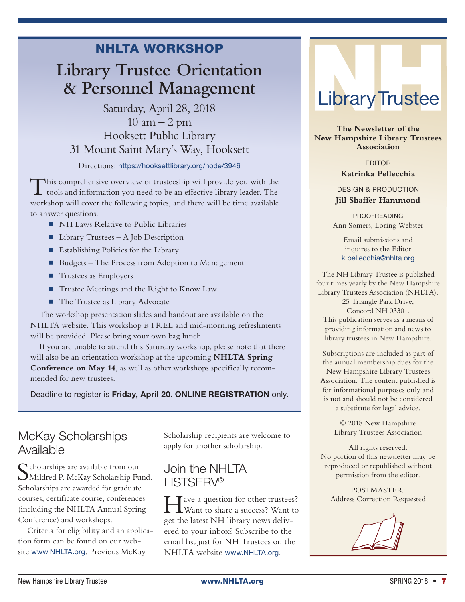## NHLTA WORKSHOP

## **Library Trustee Orientation & Personnel Management**

Saturday, April 28, 2018  $10 \text{ am} - 2 \text{ pm}$ Hooksett Public Library 31 Mount Saint Mary's Way, Hooksett

Directions: https://hooksettlibrary.org/node/3946

This comprehensive overview of trusteeship will provide you with the tools and information you need to be an effective library leader. The workshop will cover the following topics, and there will be time available to answer questions.

- **NH Laws Relative to Public Libraries**
- $\blacksquare$  Library Trustees A Job Description
- Establishing Policies for the Library
- Budgets The Process from Adoption to Management
- **Trustees as Employers**
- Trustee Meetings and the Right to Know Law
- The Trustee as Library Advocate

The workshop presentation slides and handout are available on the NHLTA website. This workshop is FREE and mid-morning refreshments will be provided. Please bring your own bag lunch.

If you are unable to attend this Saturday workshop, please note that there will also be an orientation workshop at the upcoming **NHLTA Spring Conference on May 14**, as well as other workshops specifically recommended for new trustees.

Deadline to register is Friday, April 20. ONLINE REGISTRATION only.

### McKay Scholarships Available

Scholarships are available from our<br>SMildred P. McKay Scholarship Fund. Scholarships are awarded for graduate courses, certificate course, conferences (including the NHLTA Annual Spring Conference) and workshops.

Criteria for eligibility and an application form can be found on our website www.NHLTA.org. Previous McKay

Scholarship recipients are welcome to apply for another scholarship.

### Join the NHLTA LISTSERV®

Have a question for other trustees? Want to share a success? Want to get the latest NH library news delivered to your inbox? Subscribe to the email list just for NH Trustees on the NHLTA website www.NHLTA.org.



**The Newsletter of the New Hampshire Library Trustees Association**

> EDITOR **Katrinka Pellecchia**

DESIGN & PRODUCTION **Jill Shaffer Hammond**

PROOFREADING Ann Somers, Loring Webster

Email submissions and inquires to the Editor k.pellecchia@nhlta.org

The NH Library Trustee is published four times yearly by the New Hampshire Library Trustees Association (NHLTA),

25 Triangle Park Drive, Concord NH 03301. This publication serves as a means of providing information and news to

library trustees in New Hampshire. Subscriptions are included as part of

the annual membership dues for the New Hampshire Library Trustees Association. The content published is for informational purposes only and is not and should not be considered a substitute for legal advice.

> © 2018 New Hampshire Library Trustees Association

All rights reserved. No portion of this newsletter may be reproduced or republished without permission from the editor.

POSTMASTER: Address Correction Requested

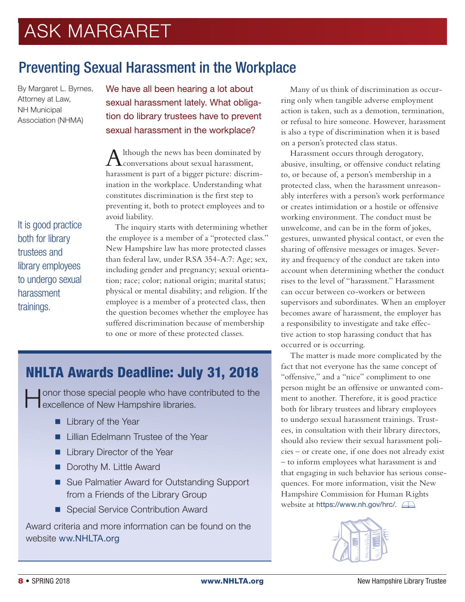# ASK MARGARET

## Preventing Sexual Harassment in the Workplace

By Margaret L. Byrnes, Attorney at Law, NH Municipal Association (NHMA)

We have all been hearing a lot about sexual harassment lately. What obligation do library trustees have to prevent sexual harassment in the workplace?

Although the news has been dominated by conversations about sexual harassment, harassment is part of a bigger picture: discrimination in the workplace. Understanding what constitutes discrimination is the first step to preventing it, both to protect employees and to avoid liability.

It is good practice both for library trustees and library employees to undergo sexual harassment trainings.

The inquiry starts with determining whether the employee is a member of a "protected class." New Hampshire law has more protected classes than federal law, under RSA 354-A:7: Age; sex, including gender and pregnancy; sexual orientation; race; color; national origin; marital status; physical or mental disability; and religion. If the employee is a member of a protected class, then the question becomes whether the employee has suffered discrimination because of membership to one or more of these protected classes.

## NHLTA Awards Deadline: July 31, 2018

Honor those special people who have contributed to the excellence of New Hampshire libraries.

- **Library of the Year**
- **Lillian Edelmann Trustee of the Year**
- **Library Director of the Year**
- Dorothy M. Little Award
- Sue Palmatier Award for Outstanding Support from a Friends of the Library Group
- **Special Service Contribution Award**

Award criteria and more information can be found on the website ww.NHLTA.org

Many of us think of discrimination as occurring only when tangible adverse employment action is taken, such as a demotion, termination, or refusal to hire someone. However, harassment is also a type of discrimination when it is based on a person's protected class status.

Harassment occurs through derogatory, abusive, insulting, or offensive conduct relating to, or because of, a person's membership in a protected class, when the harassment unreasonably interferes with a person's work performance or creates intimidation or a hostile or offensive working environment. The conduct must be unwelcome, and can be in the form of jokes, gestures, unwanted physical contact, or even the sharing of offensive messages or images. Severity and frequency of the conduct are taken into account when determining whether the conduct rises to the level of "harassment." Harassment can occur between co-workers or between supervisors and subordinates. When an employer becomes aware of harassment, the employer has a responsibility to investigate and take effective action to stop harassing conduct that has occurred or is occurring.

The matter is made more complicated by the fact that not everyone has the same concept of "offensive," and a "nice" compliment to one person might be an offensive or unwanted comment to another. Therefore, it is good practice both for library trustees and library employees to undergo sexual harassment trainings. Trustees, in consultation with their library directors, should also review their sexual harassment policies – or create one, if one does not already exist – to inform employees what harassment is and that engaging in such behavior has serious consequences. For more information, visit the New Hampshire Commission for Human Rights website at https://www.nh.gov/hrc/.

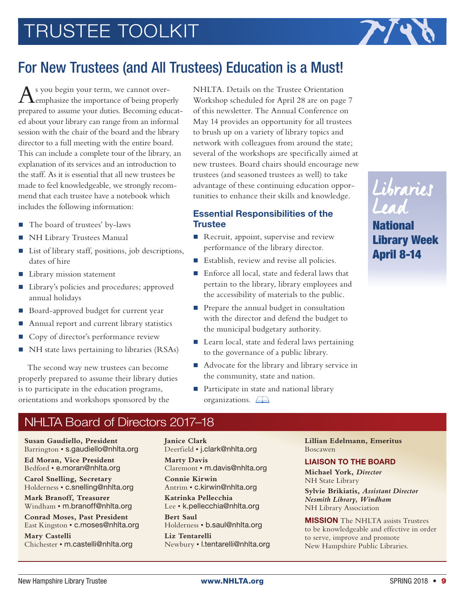# TRUSTEE TOOLKIT



## For New Trustees (and All Trustees) Education is a Must!

 $\bigwedge^s$  you begin your term, we cannot over-<br>Emphasize the importance of being properly prepared to assume your duties. Becoming educated about your library can range from an informal session with the chair of the board and the library director to a full meeting with the entire board. This can include a complete tour of the library, an explanation of its services and an introduction to the staff. As it is essential that all new trustees be made to feel knowledgeable, we strongly recommend that each trustee have a notebook which includes the following information:

- The board of trustees' by-laws
- **NH Library Trustees Manual**
- List of library staff, positions, job descriptions, dates of hire
- Library mission statement
- Library's policies and procedures; approved annual holidays
- Board-approved budget for current year
- Annual report and current library statistics
- Copy of director's performance review
- NH state laws pertaining to libraries (RSAs)

The second way new trustees can become properly prepared to assume their library duties is to participate in the education programs, orientations and workshops sponsored by the

NHLTA. Details on the Trustee Orientation Workshop scheduled for April 28 are on page 7 of this newsletter. The Annual Conference on May 14 provides an opportunity for all trustees to brush up on a variety of library topics and network with colleagues from around the state; several of the workshops are specifically aimed at new trustees. Board chairs should encourage new trustees (and seasoned trustees as well) to take advantage of these continuing education opportunities to enhance their skills and knowledge.

### Essential Responsibilities of the **Trustee**

- Recruit, appoint, supervise and review performance of the library director.
- Establish, review and revise all policies.
- Enforce all local, state and federal laws that pertain to the library, library employees and the accessibility of materials to the public.
- Prepare the annual budget in consultation with the director and defend the budget to the municipal budgetary authority.
- Learn local, state and federal laws pertaining to the governance of a public library.
- Advocate for the library and library service in the community, state and nation.
- Participate in state and national library organizations.  $\Box$



National Library Week April 8-14

### NHLTA Board of Directors 2017–18

**Susan Gaudiello, President**  Barrington • s.gaudiello@nhlta.org

**Ed Moran, Vice President** Bedford • e.moran@nhlta.org

**Carol Snelling, Secretary** Holderness • c.snelling@nhlta.org

**Mark Branoff, Treasurer** Windham • m.branoff@nhlta.org

**Conrad Moses, Past President** East Kingston • c.moses@nhlta.org **Mary Castelli** Chichester • m.castelli@nhlta.org

**Janice Clark** Deerfield • j.clark@nhlta.org **Marty Davis**

Claremont • m.davis@nhlta.org **Connie Kirwin**  Antrim • c.kirwin@nhlta.org

**Katrinka Pellecchia** Lee • k.pellecchia@nhlta.org

**Bert Saul**  Holderness • b.saul@nhlta.org **Liz Tentarelli** Newbury • l.tentarelli@nhlta.org **Lillian Edelmann, Emeritus** Boscawen

### LIAISON TO THE BOARD

**Michael York,** *Director* NH State Library

**Sylvie Brikiatis,** *Assistant Director Nesmith Library, Windham* NH Library Association

**MISSION** The NHLTA assists Trustees to be knowledgeable and effective in order to serve, improve and promote New Hampshire Public Libraries.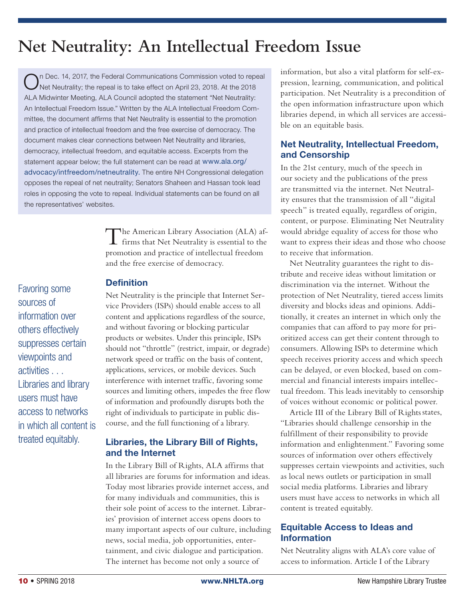# **Net Neutrality: An Intellectual Freedom Issue**

On Dec. 14, 2017, the Federal Communications Commission voted to repeal<br>
ONet Neutrality; the repeal is to take effect on April 23, 2018. At the 2018 ALA Midwinter Meeting, ALA Council adopted the statement "Net Neutrality: An Intellectual Freedom Issue." Written by the ALA Intellectual Freedom Committee, the document affirms that Net Neutrality is essential to the promotion and practice of intellectual freedom and the free exercise of democracy. The document makes clear connections between Net Neutrality and libraries, democracy, intellectual freedom, and equitable access. Excerpts from the statement appear below; the full statement can be read at www.ala.org/ advocacy/intfreedom/netneutrality. The entire NH Congressional delegation opposes the repeal of net neutrality; Senators Shaheen and Hassan took lead roles in opposing the vote to repeal. Individual statements can be found on all the representatives' websites.

> The American Library Association (ALA) af-firms that Net Neutrality is essential to the promotion and practice of intellectual freedom and the free exercise of democracy.

### **Definition**

Favoring some sources of information over others effectively suppresses certain viewpoints and activities . . . Libraries and library users must have access to networks in which all content is treated equitably.

Net Neutrality is the principle that Internet Service Providers (ISPs) should enable access to all content and applications regardless of the source, and without favoring or blocking particular products or websites. Under this principle, ISPs should not "throttle" (restrict, impair, or degrade) network speed or traffic on the basis of content, applications, services, or mobile devices. Such interference with internet traffic, favoring some sources and limiting others, impedes the free flow of information and profoundly disrupts both the right of individuals to participate in public discourse, and the full functioning of a library.

### Libraries, the Library Bill of Rights, and the Internet

In the Library Bill of Rights, ALA affirms that all libraries are forums for information and ideas. Today most libraries provide internet access, and for many individuals and communities, this is their sole point of access to the internet. Libraries' provision of internet access opens doors to many important aspects of our culture, including news, social media, job opportunities, entertainment, and civic dialogue and participation. The internet has become not only a source of

information, but also a vital platform for self-expression, learning, communication, and political participation. Net Neutrality is a precondition of the open information infrastructure upon which libraries depend, in which all services are accessible on an equitable basis.

### Net Neutrality, Intellectual Freedom, and Censorship

In the 21st century, much of the speech in our society and the publications of the press are transmitted via the internet. Net Neutrality ensures that the transmission of all "digital speech" is treated equally, regardless of origin, content, or purpose. Eliminating Net Neutrality would abridge equality of access for those who want to express their ideas and those who choose to receive that information.

Net Neutrality guarantees the right to distribute and receive ideas without limitation or discrimination via the internet. Without the protection of Net Neutrality, tiered access limits diversity and blocks ideas and opinions. Additionally, it creates an internet in which only the companies that can afford to pay more for prioritized access can get their content through to consumers. Allowing ISPs to determine which speech receives priority access and which speech can be delayed, or even blocked, based on commercial and financial interests impairs intellectual freedom. This leads inevitably to censorship of voices without economic or political power.

Article III of the Library Bill of Rights states, "Libraries should challenge censorship in the fulfillment of their responsibility to provide information and enlightenment." Favoring some sources of information over others effectively suppresses certain viewpoints and activities, such as local news outlets or participation in small social media platforms. Libraries and library users must have access to networks in which all content is treated equitably.

### Equitable Access to Ideas and Information

Net Neutrality aligns with ALA's core value of access to information. Article I of the Library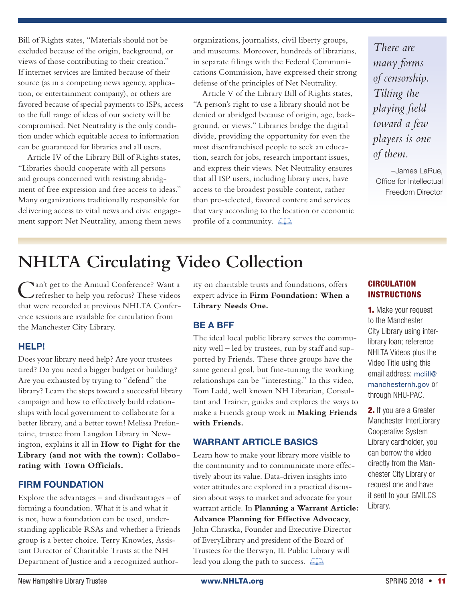Bill of Rights states, "Materials should not be excluded because of the origin, background, or views of those contributing to their creation." If internet services are limited because of their source (as in a competing news agency, application, or entertainment company), or others are favored because of special payments to ISPs, access to the full range of ideas of our society will be compromised. Net Neutrality is the only condition under which equitable access to information can be guaranteed for libraries and all users.

Article IV of the Library Bill of Rights states, "Libraries should cooperate with all persons and groups concerned with resisting abridgment of free expression and free access to ideas." Many organizations traditionally responsible for delivering access to vital news and civic engagement support Net Neutrality, among them news

organizations, journalists, civil liberty groups, and museums. Moreover, hundreds of librarians, in separate filings with the Federal Communications Commission, have expressed their strong defense of the principles of Net Neutrality.

Article V of the Library Bill of Rights states, "A person's right to use a library should not be denied or abridged because of origin, age, background, or views." Libraries bridge the digital divide, providing the opportunity for even the most disenfranchised people to seek an education, search for jobs, research important issues, and express their views. Net Neutrality ensures that all ISP users, including library users, have access to the broadest possible content, rather than pre-selected, favored content and services that vary according to the location or economic profile of a community.  $\Box$ 

*There are many forms of censorship. Tilting the playing field toward a few players is one of them.*

 –James LaRue, Office for Intellectual Freedom Director

# **NHLTA Circulating Video Collection**

**Nan't get to the Annual Conference? Want a** refresher to help you refocus? These videos that were recorded at previous NHLTA Conference sessions are available for circulation from the Manchester City Library.

### HELP!

Does your library need help? Are your trustees tired? Do you need a bigger budget or building? Are you exhausted by trying to "defend" the library? Learn the steps toward a successful library campaign and how to effectively build relationships with local government to collaborate for a better library, and a better town! Melissa Prefontaine, trustee from Langdon Library in Newington, explains it all in **How to Fight for the Library (and not with the town): Collaborating with Town Officials.**

### FIRM FOUNDATION

Explore the advantages – and disadvantages – of forming a foundation. What it is and what it is not, how a foundation can be used, understanding applicable RSAs and whether a Friends group is a better choice. Terry Knowles, Assistant Director of Charitable Trusts at the NH Department of Justice and a recognized author-

ity on charitable trusts and foundations, offers expert advice in **Firm Foundation: When a Library Needs One.**

#### BE A BFF

The ideal local public library serves the community well – led by trustees, run by staff and supported by Friends. These three groups have the same general goal, but fine-tuning the working relationships can be "interesting." In this video, Tom Ladd, well known NH Librarian, Consultant and Trainer, guides and explores the ways to make a Friends group work in **Making Friends with Friends.**

### WARRANT ARTICLE BASICS

Learn how to make your library more visible to the community and to communicate more effectively about its value. Data-driven insights into voter attitudes are explored in a practical discussion about ways to market and advocate for your warrant article. In **Planning a Warrant Article: Advance Planning for Effective Advocacy**, John Chrastka, Founder and Executive Director of EveryLibrary and president of the Board of Trustees for the Berwyn, IL Public Library will lead you along the path to success.

### **CIRCULATION** INSTRUCTIONS

1. Make your request to the Manchester City Library using interlibrary loan; reference NHLTA Videos plus the Video Title using this email address: mclill@ manchesternh.gov or through NHU-PAC.

2. If you are a Greater Manchester InterLibrary Cooperative System Library cardholder, you can borrow the video directly from the Manchester City Library or request one and have it sent to your GMILCS Library.